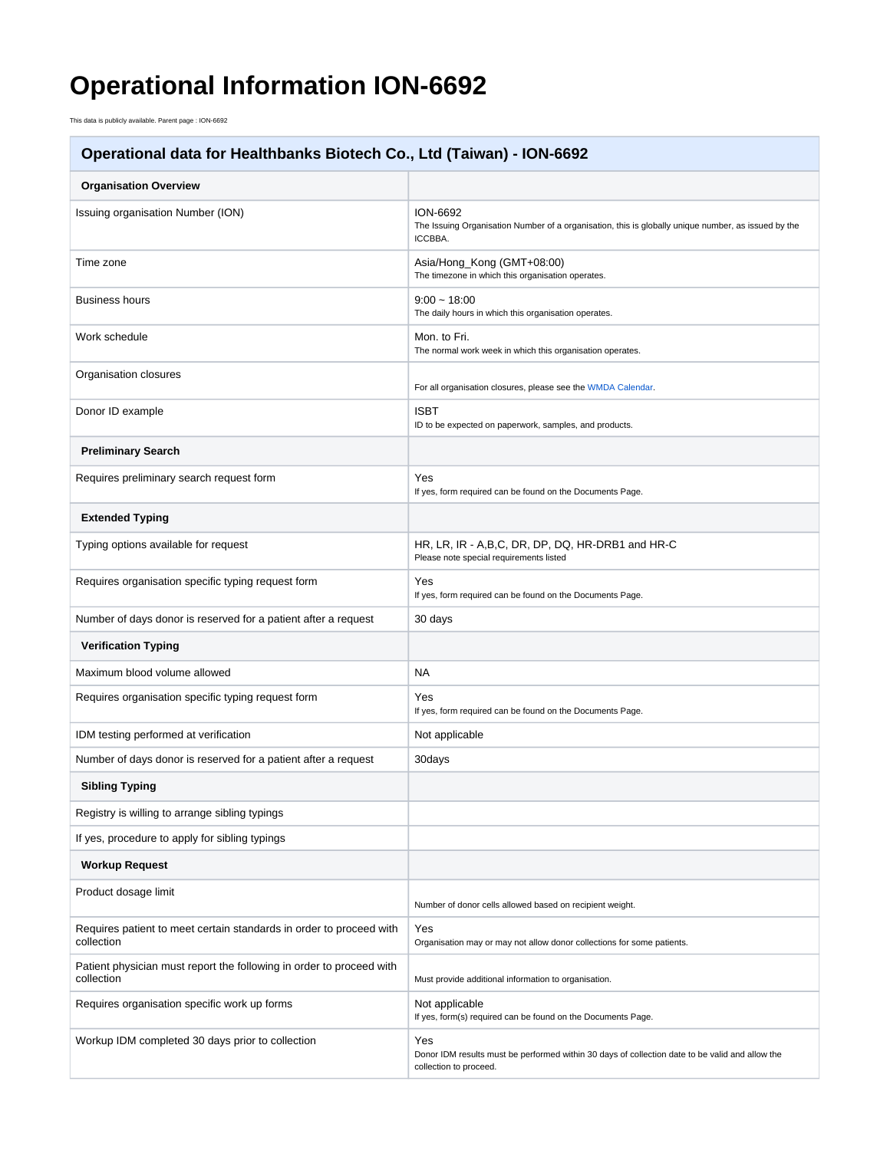## **Operational Information ION-6692**

This data is publicly available. Parent page : ION-6692

## **Operational data for Healthbanks Biotech Co., Ltd (Taiwan) - ION-6692**

| <b>Organisation Overview</b>                                                       |                                                                                                                                   |
|------------------------------------------------------------------------------------|-----------------------------------------------------------------------------------------------------------------------------------|
| Issuing organisation Number (ION)                                                  | <b>ION-6692</b><br>The Issuing Organisation Number of a organisation, this is globally unique number, as issued by the<br>ICCBBA. |
| Time zone                                                                          | Asia/Hong_Kong (GMT+08:00)<br>The timezone in which this organisation operates.                                                   |
| <b>Business hours</b>                                                              | $9:00 - 18:00$<br>The daily hours in which this organisation operates.                                                            |
| Work schedule                                                                      | Mon. to Fri.<br>The normal work week in which this organisation operates.                                                         |
| Organisation closures                                                              | For all organisation closures, please see the WMDA Calendar.                                                                      |
| Donor ID example                                                                   | <b>ISBT</b><br>ID to be expected on paperwork, samples, and products.                                                             |
| <b>Preliminary Search</b>                                                          |                                                                                                                                   |
| Requires preliminary search request form                                           | Yes<br>If yes, form required can be found on the Documents Page.                                                                  |
| <b>Extended Typing</b>                                                             |                                                                                                                                   |
| Typing options available for request                                               | HR, LR, IR - A,B,C, DR, DP, DQ, HR-DRB1 and HR-C<br>Please note special requirements listed                                       |
| Requires organisation specific typing request form                                 | Yes<br>If yes, form required can be found on the Documents Page.                                                                  |
| Number of days donor is reserved for a patient after a request                     | 30 days                                                                                                                           |
| <b>Verification Typing</b>                                                         |                                                                                                                                   |
| Maximum blood volume allowed                                                       | <b>NA</b>                                                                                                                         |
| Requires organisation specific typing request form                                 | Yes<br>If yes, form required can be found on the Documents Page.                                                                  |
| IDM testing performed at verification                                              | Not applicable                                                                                                                    |
| Number of days donor is reserved for a patient after a request                     | 30days                                                                                                                            |
| <b>Sibling Typing</b>                                                              |                                                                                                                                   |
| Registry is willing to arrange sibling typings                                     |                                                                                                                                   |
| If yes, procedure to apply for sibling typings                                     |                                                                                                                                   |
| <b>Workup Request</b>                                                              |                                                                                                                                   |
| Product dosage limit                                                               | Number of donor cells allowed based on recipient weight.                                                                          |
| Requires patient to meet certain standards in order to proceed with<br>collection  | Yes<br>Organisation may or may not allow donor collections for some patients.                                                     |
| Patient physician must report the following in order to proceed with<br>collection | Must provide additional information to organisation.                                                                              |
| Requires organisation specific work up forms                                       | Not applicable<br>If yes, form(s) required can be found on the Documents Page.                                                    |
| Workup IDM completed 30 days prior to collection                                   | Yes<br>Donor IDM results must be performed within 30 days of collection date to be valid and allow the<br>collection to proceed.  |